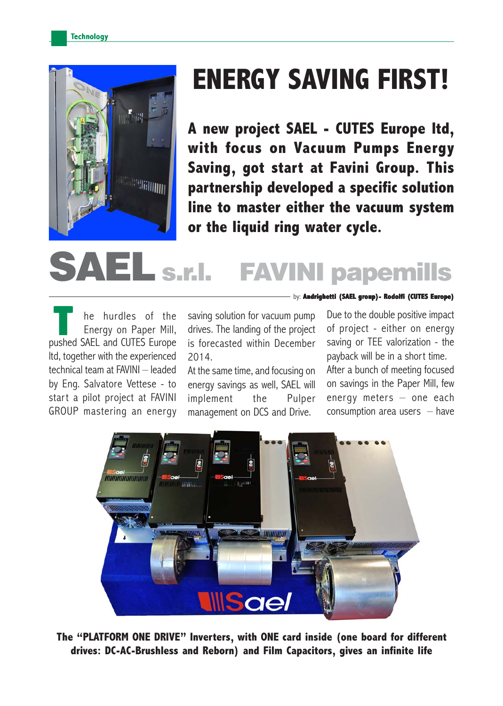

## **ENERGY SAVING FIRST!**

**A new project SAEL - CUTES Europe ltd, with focus on Vacuum Pumps Energy Saving, got start at Favini Group. This partnership developed a specific solution line to master either the vacuum system or the liquid ring water cycle.**

# s.r.l. FAVINI papemills

he hurdles of the Energy on Paper Mill, **pushed SAEL and CUTES Europe**<br> **Pushed SAEL and CUTES Europe** ltd, together with the experienced technical team at FAVINI – leaded by Eng. Salvatore Vettese - to start a pilot project at FAVINI GROUP mastering an energy

saving solution for vacuum pump drives. The landing of the project is forecasted within December 2014.

At the same time, and focusing on energy savings as well, SAEL will implement the Pulper management on DCS and Drive.

Due to the double positive impact of project - either on energy saving or TEE valorization - the payback will be in a short time. After a bunch of meeting focused on savings in the Paper Mill, few energy meters – one each consumption area users  $-$  have

by: **Andrighetti (SAEL group)- Rodolfi (CUTES Europe)**



**The "PLATFORM ONE DRIVE" Inverters, with ONE card inside (one board for different drives: DC-AC-Brushless and Reborn) and Film Capacitors, gives an infinite life**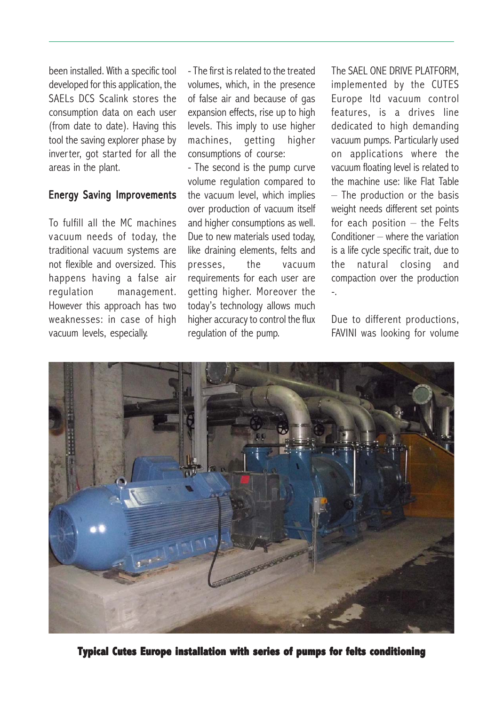been installed. With a specific tool developed for this application, the SAELs DCS Scalink stores the consumption data on each user (from date to date). Having this tool the saving explorer phase by inverter, got started for all the areas in the plant.

#### **Energy Saving Improvements**

To fulfill all the MC machines vacuum needs of today, the traditional vacuum systems are not flexible and oversized. This happens having a false air regulation management. However this approach has two weaknesses: in case of high vacuum levels, especially.

- The first is related to the treated volumes, which, in the presence of false air and because of gas expansion effects, rise up to high levels. This imply to use higher machines, getting higher consumptions of course:

- The second is the pump curve volume regulation compared to the vacuum level, which implies over production of vacuum itself and higher consumptions as well. Due to new materials used today, like draining elements, felts and presses, the vacuum requirements for each user are getting higher. Moreover the today's technology allows much higher accuracy to control the flux regulation of the pump.

The SAEL ONE DRIVE PLATFORM, implemented by the CUTES Europe ltd vacuum control features, is a drives line dedicated to high demanding vacuum pumps. Particularly used on applications where the vacuum floating level is related to the machine use: like Flat Table – The production or the basis weight needs different set points for each position  $-$  the Felts Conditioner – where the variation is a life cycle specific trait, due to the natural closing and compaction over the production -.

Due to different productions, FAVINI was looking for volume



**Typical Cutes Europe installation with series of pumps for felts conditioning**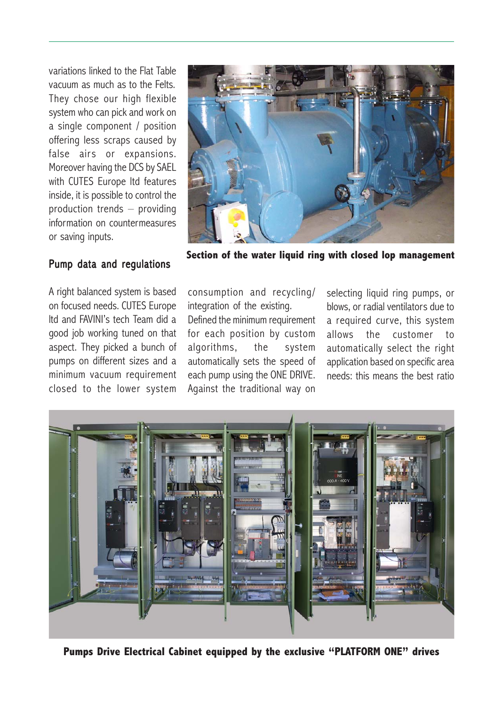variations linked to the Flat Table vacuum as much as to the Felts. They chose our high flexible system who can pick and work on a single component / position offering less scraps caused by false airs or expansions. Moreover having the DCS by SAEL with CUTES Europe ltd features inside, it is possible to control the production trends – providing information on countermeasures or saving inputs.

#### Pump data and regulations

A right balanced system is based on focused needs. CUTES Europe ltd and FAVINI's tech Team did a good job working tuned on that aspect. They picked a bunch of pumps on different sizes and a minimum vacuum requirement closed to the lower system



**Section of the water liquid ring with closed lop management**

consumption and recycling/ integration of the existing.

Defined the minimum requirement for each position by custom algorithms, the system automatically sets the speed of each pump using the ONE DRIVE. Against the traditional way on

selecting liquid ring pumps, or blows, or radial ventilators due to a required curve, this system allows the customer to automatically select the right application based on specific area needs: this means the best ratio



**Pumps Drive Electrical Cabinet equipped by the exclusive "PLATFORM ONE" drives**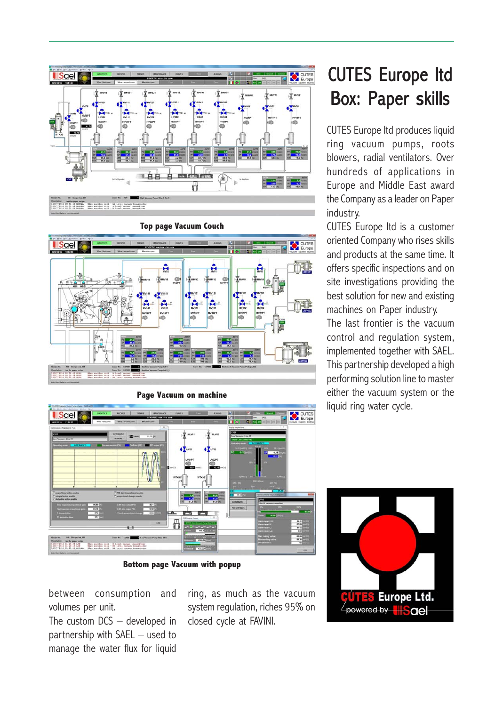





**Bottom page Vacuum with popup**

between consumption and volumes per unit.

The custom DCS – developed in partnership with SAEL – used to manage the water flux for liquid

ring, as much as the vacuum system regulation, riches 95% on closed cycle at FAVINI.

## **CUTES Europe ltd** Box: Paper skills

CUTES Europe ltd produces liquid ring vacuum pumps, roots blowers, radial ventilators. Over hundreds of applications in Europe and Middle East award the Company as a leader on Paper industry.

CUTES Europe ltd is a customer oriented Company who rises skills and products at the same time. It offers specific inspections and on site investigations providing the best solution for new and existing machines on Paper industry. The last frontier is the vacuum control and regulation system, implemented together with SAEL. This partnership developed a high performing solution line to master either the vacuum system or the liquid ring water cycle.